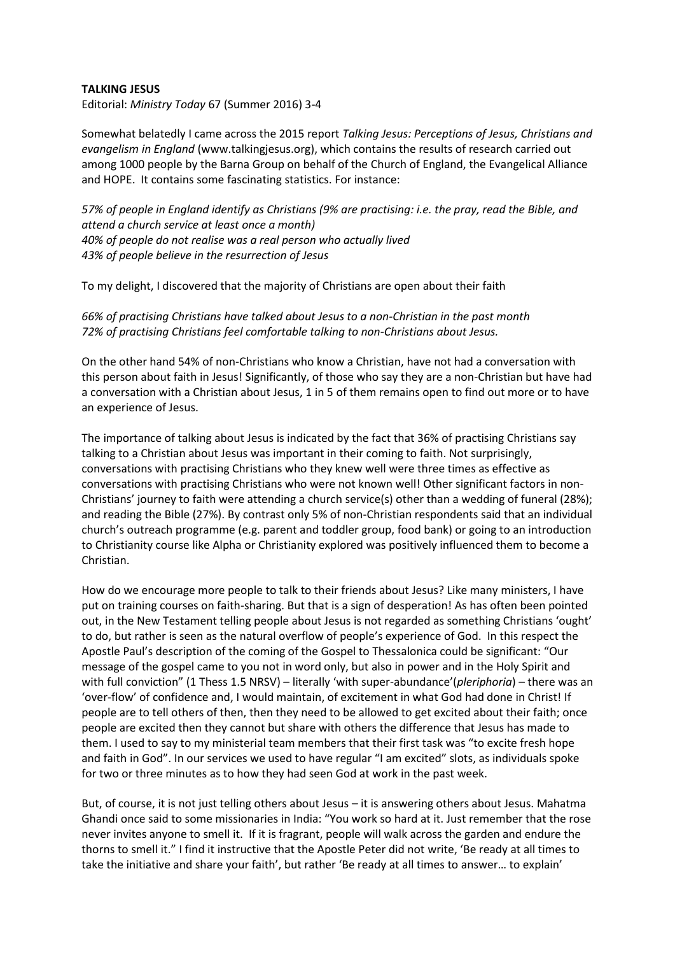## **TALKING JESUS**

Editorial: *Ministry Today* 67 (Summer 2016) 3-4

Somewhat belatedly I came across the 2015 report *Talking Jesus: Perceptions of Jesus, Christians and evangelism in England* (www.talkingjesus.org), which contains the results of research carried out among 1000 people by the Barna Group on behalf of the Church of England, the Evangelical Alliance and HOPE. It contains some fascinating statistics. For instance:

*57% of people in England identify as Christians (9% are practising: i.e. the pray, read the Bible, and attend a church service at least once a month) 40% of people do not realise was a real person who actually lived 43% of people believe in the resurrection of Jesus*

To my delight, I discovered that the majority of Christians are open about their faith

*66% of practising Christians have talked about Jesus to a non-Christian in the past month 72% of practising Christians feel comfortable talking to non-Christians about Jesus.*

On the other hand 54% of non-Christians who know a Christian, have not had a conversation with this person about faith in Jesus! Significantly, of those who say they are a non-Christian but have had a conversation with a Christian about Jesus, 1 in 5 of them remains open to find out more or to have an experience of Jesus.

The importance of talking about Jesus is indicated by the fact that 36% of practising Christians say talking to a Christian about Jesus was important in their coming to faith. Not surprisingly, conversations with practising Christians who they knew well were three times as effective as conversations with practising Christians who were not known well! Other significant factors in non-Christians' journey to faith were attending a church service(s) other than a wedding of funeral (28%); and reading the Bible (27%). By contrast only 5% of non-Christian respondents said that an individual church's outreach programme (e.g. parent and toddler group, food bank) or going to an introduction to Christianity course like Alpha or Christianity explored was positively influenced them to become a Christian.

How do we encourage more people to talk to their friends about Jesus? Like many ministers, I have put on training courses on faith-sharing. But that is a sign of desperation! As has often been pointed out, in the New Testament telling people about Jesus is not regarded as something Christians 'ought' to do, but rather is seen as the natural overflow of people's experience of God. In this respect the Apostle Paul's description of the coming of the Gospel to Thessalonica could be significant: "Our message of the gospel came to you not in word only, but also in power and in the Holy Spirit and with full conviction" (1 Thess 1.5 NRSV) – literally 'with super-abundance'(*pleriphoria*) – there was an 'over-flow' of confidence and, I would maintain, of excitement in what God had done in Christ! If people are to tell others of then, then they need to be allowed to get excited about their faith; once people are excited then they cannot but share with others the difference that Jesus has made to them. I used to say to my ministerial team members that their first task was "to excite fresh hope and faith in God". In our services we used to have regular "I am excited" slots, as individuals spoke for two or three minutes as to how they had seen God at work in the past week.

But, of course, it is not just telling others about Jesus – it is answering others about Jesus. Mahatma Ghandi once said to some missionaries in India: "You work so hard at it. Just remember that the rose never invites anyone to smell it. If it is fragrant, people will walk across the garden and endure the thorns to smell it." I find it instructive that the Apostle Peter did not write, 'Be ready at all times to take the initiative and share your faith', but rather 'Be ready at all times to answer… to explain'